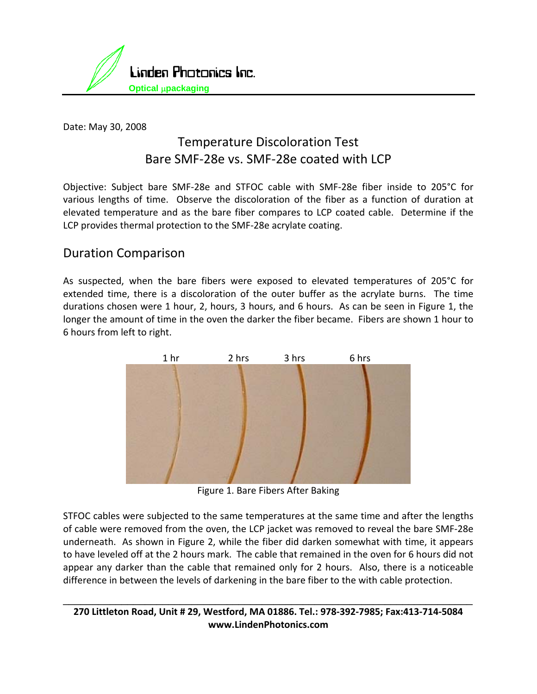

Date: May 30, 2008

# Temperature Discoloration Test Bare SMF‐28e vs. SMF‐28e coated with LCP

Objective: Subject bare SMF‐28e and STFOC cable with SMF‐28e fiber inside to 205°C for various lengths of time. Observe the discoloration of the fiber as a function of duration at elevated temperature and as the bare fiber compares to LCP coated cable. Determine if the LCP provides thermal protection to the SMF‐28e acrylate coating.

### Duration Comparison

As suspected, when the bare fibers were exposed to elevated temperatures of 205°C for extended time, there is a discoloration of the outer buffer as the acrylate burns. The time durations chosen were 1 hour, 2, hours, 3 hours, and 6 hours. As can be seen in Figure 1, the longer the amount of time in the oven the darker the fiber became. Fibers are shown 1 hour to 6 hours from left to right.



Figure 1. Bare Fibers After Baking

STFOC cables were subjected to the same temperatures at the same time and after the lengths of cable were removed from the oven, the LCP jacket was removed to reveal the bare SMF‐28e underneath. As shown in Figure 2, while the fiber did darken somewhat with time, it appears to have leveled off at the 2 hours mark. The cable that remained in the oven for 6 hours did not appear any darker than the cable that remained only for 2 hours. Also, there is a noticeable difference in between the levels of darkening in the bare fiber to the with cable protection.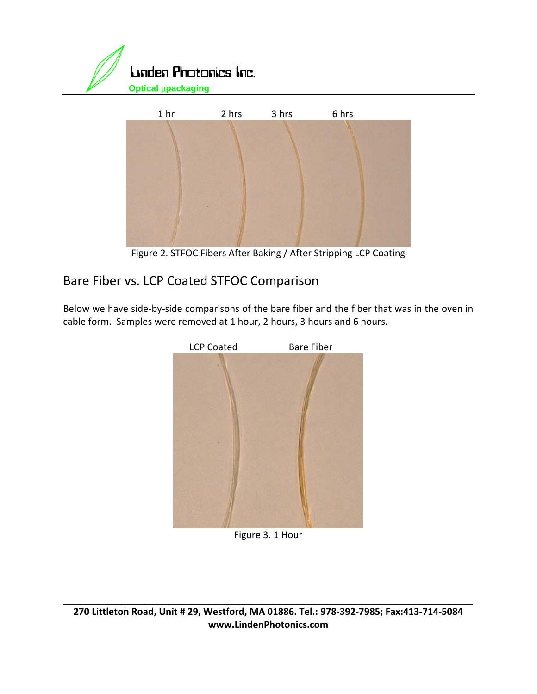



Figure 2. STFOC Fibers After Baking / After Stripping LCP Coating

# Bare Fiber vs. LCP Coated STFOC Comparison

Below we have side‐by‐side comparisons of the bare fiber and the fiber that was in the oven in cable form. Samples were removed at 1 hour, 2 hours, 3 hours and 6 hours.



Figure 3. 1 Hour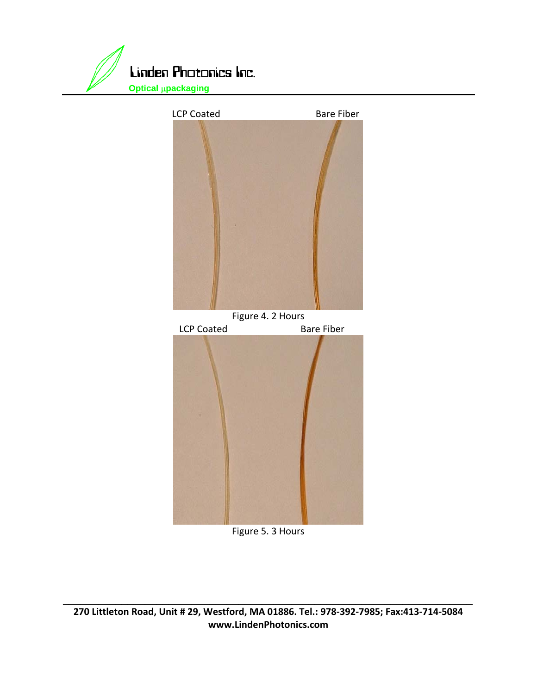





#### Figure 5. 3 Hours

270 Littleton Road, Unit # 29, Westford, MA 01886. Tel.: 978-392-7985; Fax:413-714-5084 **www.LindenPhotonics.com**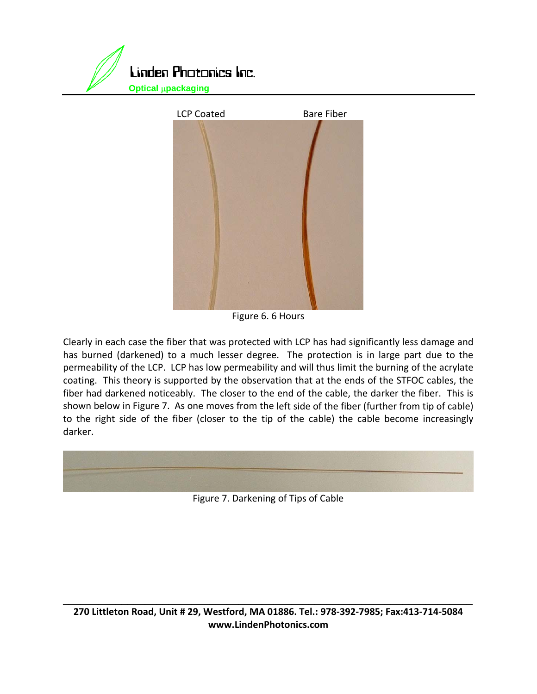



Figure 6. 6 Hours

Clearly in each case the fiber that was protected with LCP has had significantly less damage and has burned (darkened) to a much lesser degree. The protection is in large part due to the permeability of the LCP. LCP has low permeability and will thus limit the burning of the acrylate coating. This theory is supported by the observation that at the ends of the STFOC cables, the fiber had darkened noticeably. The closer to the end of the cable, the darker the fiber. This is shown below in Figure 7. As one moves from the left side of the fiber (further from tip of cable) to the right side of the fiber (closer to the tip of the cable) the cable become increasingly darker.



Figure 7. Darkening of Tips of Cable

270 Littleton Road, Unit # 29, Westford, MA 01886. Tel.: 978-392-7985; Fax:413-714-5084 **www.LindenPhotonics.com**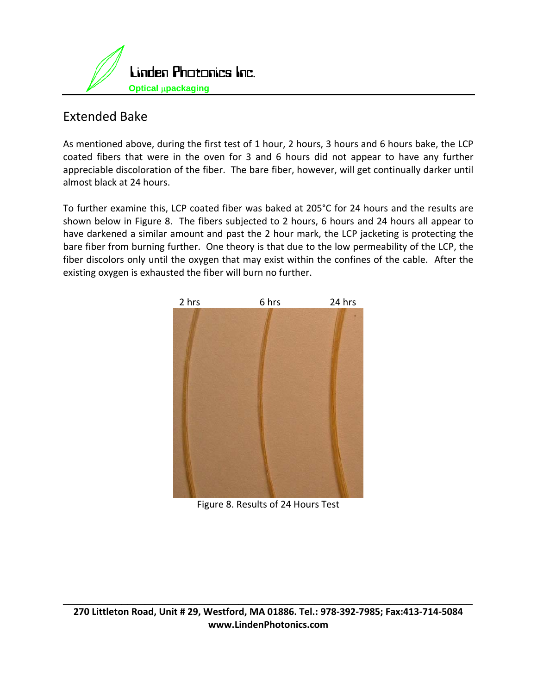

## Extended Bake

As mentioned above, during the first test of 1 hour, 2 hours, 3 hours and 6 hours bake, the LCP coated fibers that were in the oven for 3 and 6 hours did not appear to have any further appreciable discoloration of the fiber. The bare fiber, however, will get continually darker until almost black at 24 hours.

To further examine this, LCP coated fiber was baked at 205°C for 24 hours and the results are shown below in Figure 8. The fibers subjected to 2 hours, 6 hours and 24 hours all appear to have darkened a similar amount and past the 2 hour mark, the LCP jacketing is protecting the bare fiber from burning further. One theory is that due to the low permeability of the LCP, the fiber discolors only until the oxygen that may exist within the confines of the cable. After the existing oxygen is exhausted the fiber will burn no further.



Figure 8. Results of 24 Hours Test